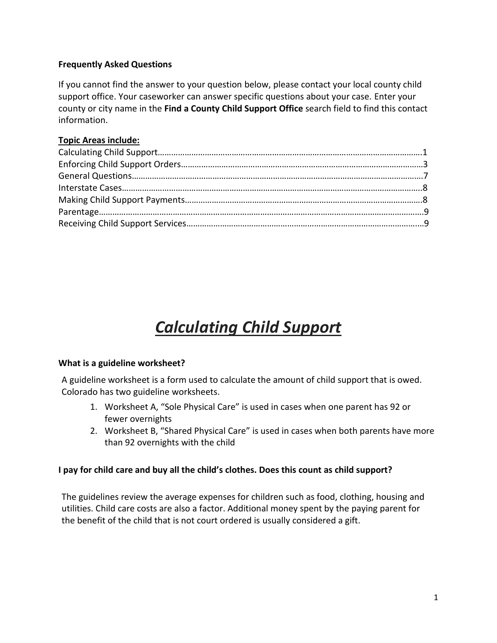# **Frequently Asked Questions**

If you cannot find the answer to your question below, please contact your local county child support office. Your caseworker can answer specific questions about your case. Enter your county or city name in the **Find a County Child Support Office** search field to find this contact information.

### **Topic Areas include:**

# *Calculating Child Support*

#### **What is a guideline worksheet?**

A guideline worksheet is a form used to calculate the amount of child support that is owed. Colorado has two guideline worksheets.

- 1. Worksheet A, "Sole Physical Care" is used in cases when one parent has 92 or fewer overnights
- 2. Worksheet B, "Shared Physical Care" is used in cases when both parents have more than 92 overnights with the child

#### **I pay for child care and buy all the child's clothes. Does this count as child support?**

The guidelines review the average expenses for children such as food, clothing, housing and utilities. Child care costs are also a factor. Additional money spent by the paying parent for the benefit of the child that is not court ordered is usually considered a gift.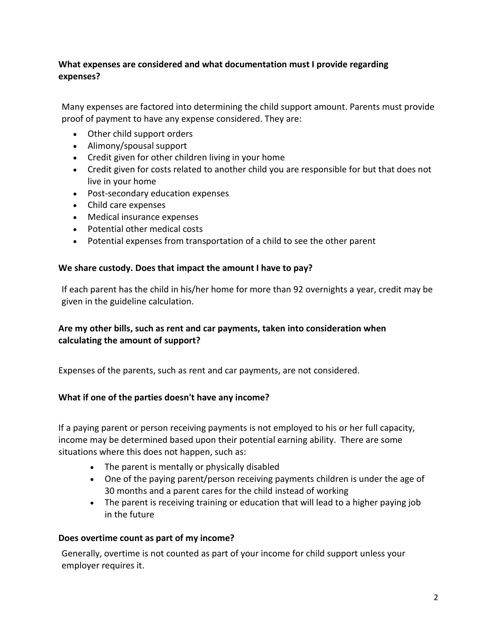# **What expenses are considered and what documentation must I provide regarding expenses?**

Many expenses are factored into determining the child support amount. Parents must provide proof of payment to have any expense considered. They are:

- Other child support orders
- Alimony/spousal support
- Credit given for other children living in your home
- Credit given for costs related to another child you are responsible for but that does not live in your home
- Post-secondary education expenses
- Child care expenses
- Medical insurance expenses
- Potential other medical costs
- Potential expenses from transportation of a child to see the other parent

# **We share custody. Does that impact the amount I have to pay?**

If each parent has the child in his/her home for more than 92 overnights a year, credit may be given in the guideline calculation.

# **Are my other bills, such as rent and car payments, taken into consideration when calculating the amount of support?**

Expenses of the parents, such as rent and car payments, are not considered.

# **What if one of the parties doesn't have any income?**

If a paying parent or person receiving payments is not employed to his or her full capacity, income may be determined based upon their potential earning ability. There are some situations where this does not happen, such as:

- The parent is mentally or physically disabled
- One of the paying parent/person receiving payments children is under the age of 30 months and a parent cares for the child instead of working
- The parent is receiving training or education that will lead to a higher paying job in the future

# **Does overtime count as part of my income?**

Generally, overtime is not counted as part of your income for child support unless your employer requires it.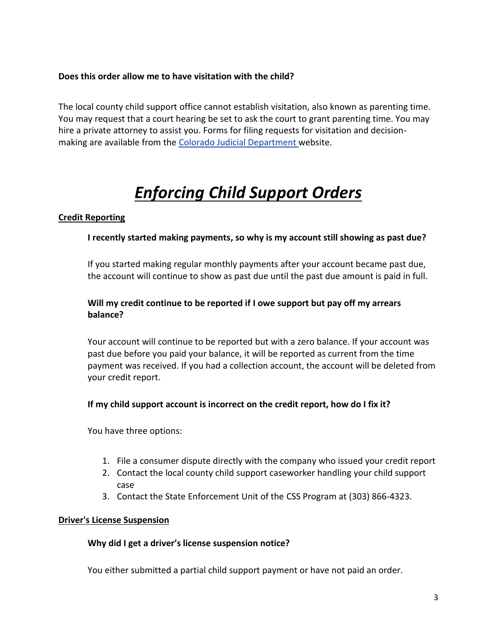### **Does this order allow me to have visitation with the child?**

The local county child support office cannot establish visitation, also known as parenting time. You may request that a court hearing be set to ask the court to grant parenting time. You may hire a private attorney to assist you. Forms for filing requests for visitation and decisionmaking are available from the [Colorado Judicial Department](http://www.courts.state.co.us/Forms/Index.cfm) website.

# *Enforcing Child Support Orders*

#### **Credit Reporting**

#### **I recently started making payments, so why is my account still showing as past due?**

If you started making regular monthly payments after your account became past due, the account will continue to show as past due until the past due amount is paid in full.

# **Will my credit continue to be reported if I owe support but pay off my arrears balance?**

Your account will continue to be reported but with a zero balance. If your account was past due before you paid your balance, it will be reported as current from the time payment was received. If you had a collection account, the account will be deleted from your credit report.

#### **If my child support account is incorrect on the credit report, how do I fix it?**

You have three options:

- 1. File a consumer dispute directly with the company who issued your credit report
- 2. Contact the local county child support caseworker handling your child support case
- 3. Contact the State Enforcement Unit of the CSS Program at (303) 866-4323.

#### **Driver's License Suspension**

#### **Why did I get a driver's license suspension notice?**

You either submitted a partial child support payment or have not paid an order.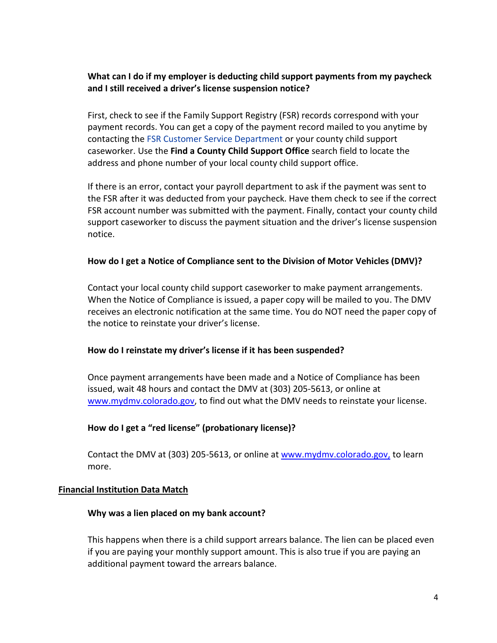# **What can I do if my employer is deducting child support payments from my paycheck and I still received a driver's license suspension notice?**

First, check to see if the Family Support Registry (FSR) records correspond with your payment records. You can get a copy of the payment record mailed to you anytime by contacting the [FSR Customer Service Department](https://childsupport.state.co.us/siteuser/do/vfs/Frag?file=/cm:contactInformation.jsp#CustomerService) or your county child support caseworker. Use the **Find a County Child Support Office** search field to locate the address and phone number of your local county child support office.

If there is an error, contact your payroll department to ask if the payment was sent to the FSR after it was deducted from your paycheck. Have them check to see if the correct FSR account number was submitted with the payment. Finally, contact your county child support caseworker to discuss the payment situation and the driver's license suspension notice.

#### **How do I get a Notice of Compliance sent to the Division of Motor Vehicles (DMV)?**

Contact your local county child support caseworker to make payment arrangements. When the Notice of Compliance is issued, a paper copy will be mailed to you. The DMV receives an electronic notification at the same time. You do NOT need the paper copy of the notice to reinstate your driver's license.

#### **How do I reinstate my driver's license if it has been suspended?**

Once payment arrangements have been made and a Notice of Compliance has been issued, wait 48 hours and contact the DMV at (303) 205-5613, or online at [www.mydmv.colorado.gov,](file:///C:/Users/AndersLA/Downloads/www.mydmv.colorado.gov) to find out what the DMV needs to reinstate your license.

#### **How do I get a "red license" (probationary license)?**

Contact the DMV at (303) 205-5613, or online at [www.mydmv.colorado.gov,](file:///C:/Users/AndersLA/Downloads/www.mydmv.colorado.gov) to learn more.

#### **Financial Institution Data Match**

#### **Why was a lien placed on my bank account?**

This happens when there is a child support arrears balance. The lien can be placed even if you are paying your monthly support amount. This is also true if you are paying an additional payment toward the arrears balance.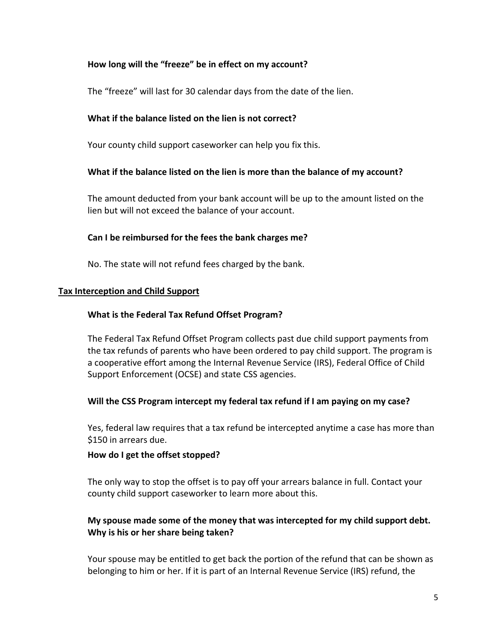### **How long will the "freeze" be in effect on my account?**

The "freeze" will last for 30 calendar days from the date of the lien.

#### **What if the balance listed on the lien is not correct?**

Your county child support caseworker can help you fix this.

#### **What if the balance listed on the lien is more than the balance of my account?**

The amount deducted from your bank account will be up to the amount listed on the lien but will not exceed the balance of your account.

#### **Can I be reimbursed for the fees the bank charges me?**

No. The state will not refund fees charged by the bank.

#### **Tax Interception and Child Support**

#### **What is the Federal Tax Refund Offset Program?**

The Federal Tax Refund Offset Program collects past due child support payments from the tax refunds of parents who have been ordered to pay child support. The program is a cooperative effort among the Internal Revenue Service (IRS), Federal Office of Child Support Enforcement (OCSE) and state CSS agencies.

#### **Will the CSS Program intercept my federal tax refund if I am paying on my case?**

Yes, federal law requires that a tax refund be intercepted anytime a case has more than \$150 in arrears due.

#### **How do I get the offset stopped?**

The only way to stop the offset is to pay off your arrears balance in full. Contact your county child support caseworker to learn more about this.

# **My spouse made some of the money that was intercepted for my child support debt. Why is his or her share being taken?**

Your spouse may be entitled to get back the portion of the refund that can be shown as belonging to him or her. If it is part of an Internal Revenue Service (IRS) refund, the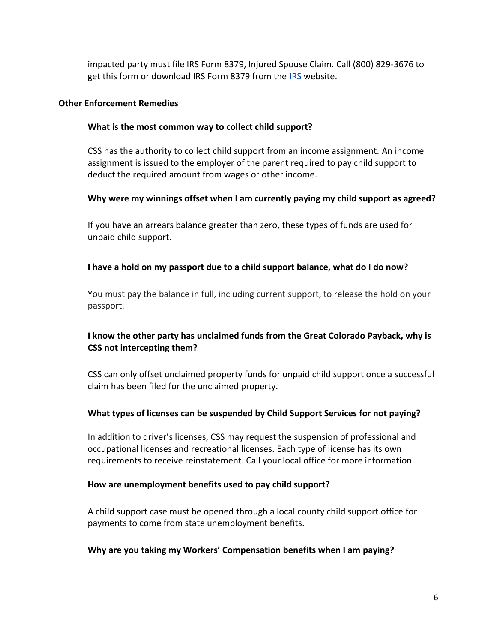impacted party must file IRS Form 8379, Injured Spouse Claim. Call (800) 829-3676 to get this form or download [IRS](http://www.irs.gov/) Form 8379 from the IRS website.

#### **Other Enforcement Remedies**

#### **What is the most common way to collect child support?**

CSS has the authority to collect child support from an income assignment. An income assignment is issued to the employer of the parent required to pay child support to deduct the required amount from wages or other income.

# **Why were my winnings offset when I am currently paying my child support as agreed?**

If you have an arrears balance greater than zero, these types of funds are used for unpaid child support.

#### **I have a hold on my passport due to a child support balance, what do I do now?**

You must pay the balance in full, including current support, to release the hold on your passport.

# **I know the other party has unclaimed funds from the Great Colorado Payback, why is CSS not intercepting them?**

CSS can only offset unclaimed property funds for unpaid child support once a successful claim has been filed for the unclaimed property.

# **What types of licenses can be suspended by Child Support Services for not paying?**

In addition to driver's licenses, CSS may request the suspension of professional and occupational licenses and recreational licenses. Each type of license has its own requirements to receive reinstatement. Call your local office for more information.

#### **How are unemployment benefits used to pay child support?**

A child support case must be opened through a local county child support office for payments to come from state unemployment benefits.

#### **Why are you taking my Workers' Compensation benefits when I am paying?**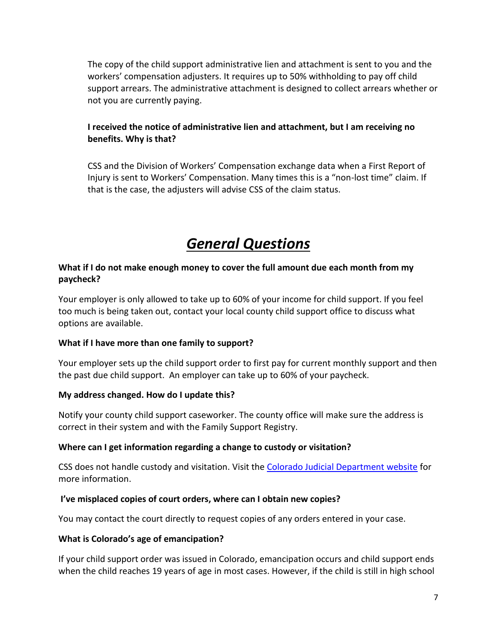The copy of the child support administrative lien and attachment is sent to you and the workers' compensation adjusters. It requires up to 50% withholding to pay off child support arrears. The administrative attachment is designed to collect arrears whether or not you are currently paying.

# **I received the notice of administrative lien and attachment, but I am receiving no benefits. Why is that?**

CSS and the Division of Workers' Compensation exchange data when a First Report of Injury is sent to Workers' Compensation. Many times this is a "non-lost time" claim. If that is the case, the adjusters will advise CSS of the claim status.

# *General Questions*

# **What if I do not make enough money to cover the full amount due each month from my paycheck?**

Your employer is only allowed to take up to 60% of your income for child support. If you feel too much is being taken out, contact your local county child support office to discuss what options are available.

# **What if I have more than one family to support?**

Your employer sets up the child support order to first pay for current monthly support and then the past due child support. An employer can take up to 60% of your paycheck.

#### **My address changed. How do I update this?**

Notify your county child support caseworker. The county office will make sure the address is correct in their system and with the Family Support Registry.

# **Where can I get information regarding a change to custody or visitation?**

CSS does not handle custody and visitation. Visit the [Colorado Judicial Department website](http://www.courts.state.co.us/) for more information.

#### **I've misplaced copies of court orders, where can I obtain new copies?**

You may contact the court directly to request copies of any orders entered in your case.

#### **What is Colorado's age of emancipation?**

If your child support order was issued in Colorado, emancipation occurs and child support ends when the child reaches 19 years of age in most cases. However, if the child is still in high school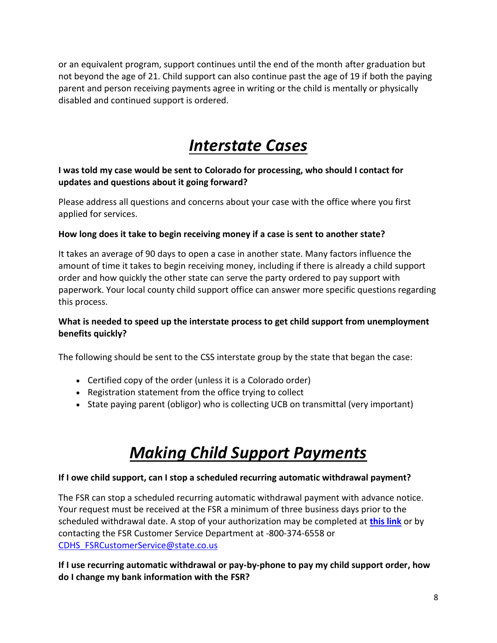or an equivalent program, support continues until the end of the month after graduation but not beyond the age of 21. Child support can also continue past the age of 19 if both the paying parent and person receiving payments agree in writing or the child is mentally or physically disabled and continued support is ordered.

# *Interstate Cases*

# **I was told my case would be sent to Colorado for processing, who should I contact for updates and questions about it going forward?**

Please address all questions and concerns about your case with the office where you first applied for services.

# **How long does it take to begin receiving money if a case is sent to another state?**

It takes an average of 90 days to open a case in another state. Many factors influence the amount of time it takes to begin receiving money, including if there is already a child support order and how quickly the other state can serve the party ordered to pay support with paperwork. Your local county child support office can answer more specific questions regarding this process.

# **What is needed to speed up the interstate process to get child support from unemployment benefits quickly?**

The following should be sent to the CSS interstate group by the state that began the case:

- Certified copy of the order (unless it is a Colorado order)
- Registration statement from the office trying to collect
- State paying parent (obligor) who is collecting UCB on transmittal (very important)

# *Making Child Support Payments*

# **If I owe child support, can I stop a scheduled recurring automatic withdrawal payment?**

The FSR can stop a scheduled recurring automatic withdrawal payment with advance notice. Your request must be received at the FSR a minimum of three business days prior to the scheduled withdrawal date. A stop of your authorization may be completed at **[this link](https://co.smartchildsupport.com/)** or by contacting the FSR Customer Service Department at -800-374-6558 or [CDHS\\_FSRCustomerService@state.co.us](mailto:CDHS_FSRCustomerService@state.co.us)

**If I use recurring automatic withdrawal or pay-by-phone to pay my child support order, how do I change my bank information with the FSR?**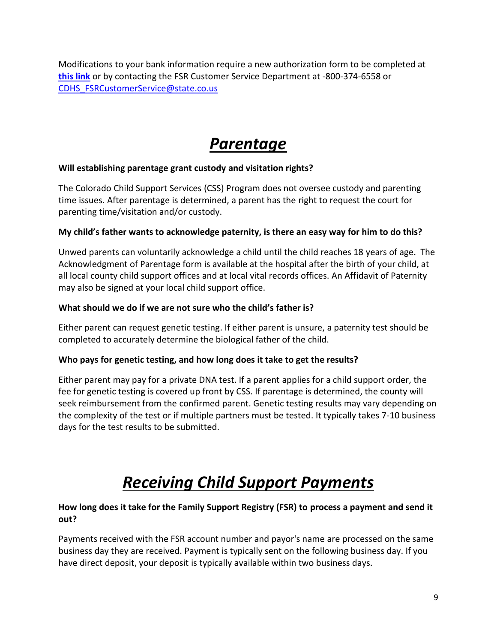Modifications to your bank information require a new authorization form to be completed at **[this link](https://co.smartchildsupport.com/)** or by contacting the FSR Customer Service Department at -800-374-6558 or [CDHS\\_FSRCustomerService@state.co.us](mailto:CDHS_FSRCustomerService@state.co.us)

# *Parentage*

# **Will establishing parentage grant custody and visitation rights?**

The Colorado Child Support Services (CSS) Program does not oversee custody and parenting time issues. After parentage is determined, a parent has the right to request the court for parenting time/visitation and/or custody.

# **My child's father wants to acknowledge paternity, is there an easy way for him to do this?**

Unwed parents can voluntarily acknowledge a child until the child reaches 18 years of age. The Acknowledgment of Parentage form is available at the hospital after the birth of your child, at all local county child support offices and at local vital records offices. An Affidavit of Paternity may also be signed at your local child support office.

# **What should we do if we are not sure who the child's father is?**

Either parent can request genetic testing. If either parent is unsure, a paternity test should be completed to accurately determine the biological father of the child.

# **Who pays for genetic testing, and how long does it take to get the results?**

Either parent may pay for a private DNA test. If a parent applies for a child support order, the fee for genetic testing is covered up front by CSS. If parentage is determined, the county will seek reimbursement from the confirmed parent. Genetic testing results may vary depending on the complexity of the test or if multiple partners must be tested. It typically takes 7-10 business days for the test results to be submitted.

# *Receiving Child Support Payments*

# **How long does it take for the Family Support Registry (FSR) to process a payment and send it out?**

Payments received with the FSR account number and payor's name are processed on the same business day they are received. Payment is typically sent on the following business day. If you have direct deposit, your deposit is typically available within two business days.